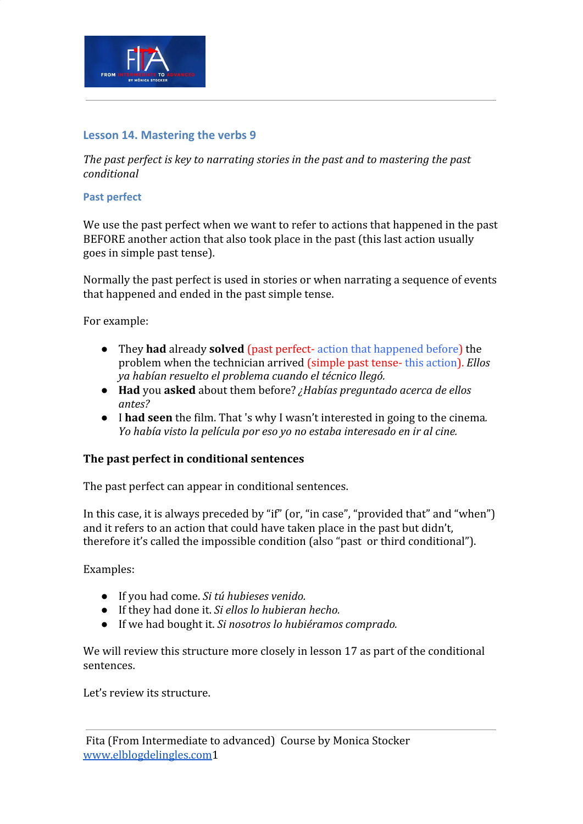

## **Lesson 14. Mastering the verbs 9**

*The past perfect is key to narrating stories in the past and to mastering the past conditional*

#### **Past perfect**

We use the past perfect when we want to refer to actions that happened in the past BEFORE another action that also took place in the past (this last action usually goes in simple past tense).

Normally the past perfect is used in stories or when narrating a sequence of events that happened and ended in the past simple tense.

For example:

- They **had** already **solved** (past perfect- action that happened before) the problem when the technician arrived (simple past tense- this action). *Ellos ya habían resuelto el problema cuando el técnico llegó.*
- **Had** you **asked** about them before? *¿Habías preguntado acerca de ellos antes?*
- I **had seen** the film. That 's why I wasn't interested in going to the cinema*. Yo había visto la película por eso yo no estaba interesado en ir al cine.*

### **The past perfect in conditional sentences**

The past perfect can appear in conditional sentences.

In this case, it is always preceded by "if" (or, "in case", "provided that" and "when") and it refers to an action that could have taken place in the past but didn't, therefore it's called the impossible condition (also "past or third conditional").

Examples:

- *●* If you had come. *Si tú hubieses venido.*
- *●* If they had done it. *Si ellos lo hubieran hecho.*
- If we had bought it. *Si nosotros lo hubiéramos comprado.*

We will review this structure more closely in lesson 17 as part of the conditional sentences.

Let's review its structure.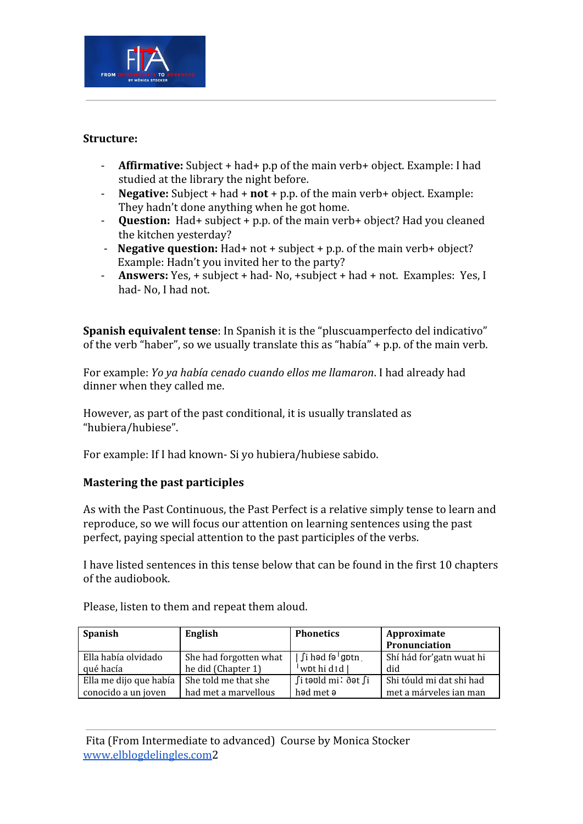

### **Structure:**

- **Affirmative:** Subject + had+ p.p of the main verb+ object. Example: I had studied at the library the night before.
- **Negative:** Subject + had + **not** + p.p. of the main verb+ object. Example: They hadn't done anything when he got home.
- **Question:** Had+ subject + p.p. of the main verb+ object? Had you cleaned the kitchen yesterday?
- **Negative question:** Had+ not + subject + p.p. of the main verb+ object? Example: Hadn't you invited her to the party?
- **Answers:** Yes, + subject + had- No, +subject + had + not. Examples: Yes, I had- No, I had not.

**Spanish equivalent tense**: In Spanish it is the "pluscuamperfecto del indicativo" of the verb "haber", so we usually translate this as "había" + p.p. of the main verb.

For example: *Yo ya había cenado cuando ellos me llamaron*. I had already had dinner when they called me.

However, as part of the past conditional, it is usually translated as "hubiera/hubiese".

For example: If I had known- Si yo hubiera/hubiese sabido.

# **Mastering the past participles**

As with the Past Continuous, the Past Perfect is a relative simply tense to learn and reproduce, so we will focus our attention on learning sentences using the past perfect, paying special attention to the past participles of the verbs.

I have listed sentences in this tense below that can be found in the first 10 chapters of the audiobook.

| <b>Spanish</b>         | English                | <b>Phonetics</b>                   | Approximate<br>Pronunciation |
|------------------------|------------------------|------------------------------------|------------------------------|
| Ella había olvidado    | She had forgotten what | $\int$ i həd fə $\frac{1}{2}$ gptn | Shí hád for'gatn wuat hi     |
| qué hacía              | he did (Chapter 1)     | $ $ wpt hi d <sub>Id</sub> $ $     | did                          |
| Ella me dijo que había | She told me that she   | ∫i təʊld mi∶ ðət ∫i                | Shi tóuld mi dat shi had     |
| conocido a un joven    | had met a marvellous   | had met a                          | met a márveles ian man       |

Please, listen to them and repeat them aloud.

 Fita (From Intermediate to advanced) Course by Monica Stocker [www.elblogdelingles.com2](http://www.elblogdelingles.com/)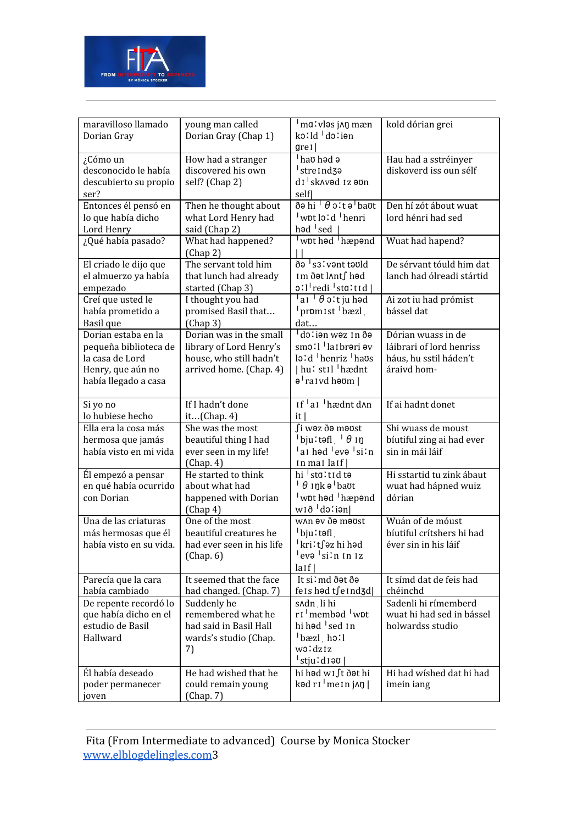

| maravilloso llamado<br>Dorian Gray                                                                           | young man called<br>Dorian Gray (Chap 1)                                                                 | ma: vləs j^n mæn<br>ko:ld do:ion<br>$gre1$                                                                                                   | kold dórian grei                                                                        |
|--------------------------------------------------------------------------------------------------------------|----------------------------------------------------------------------------------------------------------|----------------------------------------------------------------------------------------------------------------------------------------------|-----------------------------------------------------------------------------------------|
| ¿Cómo un<br>desconocido le había<br>descubierto su propio<br>ser?                                            | How had a stranger<br>discovered his own<br>self? (Chap 2)                                               | hau had a<br>stre Ind <sub>3</sub> a<br>di skavəd iz əvn<br>self                                                                             | Hau had a sstréinyer<br>diskoverd iss oun sélf                                          |
| Entonces él pensó en<br>lo que había dicho<br>Lord Henry                                                     | Then he thought about<br>what Lord Henry had<br>said (Chap 2)                                            | ðə hi <sup> </sup> θ oːt ə <sup> </sup> baʊt<br>wpt lo:d 'henri<br>həd $\sqrt{ }$ sed $\sqrt{ }$                                             | Den hí zót ábout wuat<br>lord hénri had sed                                             |
| ¿Qué había pasado?                                                                                           | What had happened?<br>(Chap 2)                                                                           | wpt had <sup>1</sup> hæpand                                                                                                                  | Wuat had hapend?                                                                        |
| El criado le dijo que<br>el almuerzo ya había<br>empezado                                                    | The servant told him<br>that lunch had already<br>started (Chap 3)                                       | ðə <sup>1</sup> s3lvənt təvld<br>Im ðət l∧nt∫ həd<br>oːlˈrediˈstɑːtɪd                                                                        | De sérvant tóuld him dat<br>lanch had ólreadi stártid                                   |
| Creí que usted le<br>había prometido a<br>Basil que                                                          | I thought you had<br>promised Basil that<br>(Chap <sub>3</sub> )                                         | $\vert$ ar $\vert$ $\theta$ o:t ju həd<br>promist bæzl<br>dat                                                                                | Ai zot iu had prómist<br>bássel dat                                                     |
| Dorian estaba en la<br>pequeña biblioteca de<br>la casa de Lord<br>Henry, que aún no<br>había llegado a casa | Dorian was in the small<br>library of Lord Henry's<br>house, who still hadn't<br>arrived home. (Chap. 4) | dəlian wəzin ðə<br>smo!   laibrəri əv<br>lo:d henriz haus<br>  hu: stil <sup> </sup> hædnt<br>$\theta$ <sup>1</sup> raivd h $\theta$ m       | Dórian wuass in de<br>láibrari of lord henriss<br>háus, hu sstil háden't<br>áraivd hom- |
| Si yo no<br>lo hubiese hecho                                                                                 | If I hadn't done<br>it(Chap. 4)                                                                          | If aI hædnt d^n<br>it                                                                                                                        | If ai hadnt donet                                                                       |
| Ella era la cosa más<br>hermosa que jamás<br>había visto en mi vida                                          | She was the most<br>beautiful thing I had<br>ever seen in my life!<br>(Chap. 4)                          | ∫i wəz ðə məʊst<br>$\vert$ bjuːtəfl $\vert$ $\vert$ $\theta$ $\vert$ n<br>ai həd <sup>1</sup> evə <sup>1</sup> siln<br>$\ln \text{max}$ laif | Shi wuass de moust<br>bíutiful zing ai had ever<br>sin in mái láif                      |
| Él empezó a pensar<br>en qué había ocurrido<br>con Dorian                                                    | He started to think<br>about what had<br>happened with Dorian<br>(Chap <sub>4</sub> )                    | hi sta:tid ta<br>$\theta$ ink ə $\theta$ baut<br>wpt had 'hæpand<br>wið dolien                                                               | Hi sstartid tu zink ábaut<br>wuat had hápned wuiz<br>dórian                             |
| Una de las criaturas<br>más hermosas que él<br>había visto en su vida.                                       | One of the most<br>beautiful creatures he<br>had ever seen in his life<br>(Chap. 6)                      | WAn av ða maust<br>bju:tefl<br><sup>∣</sup> kri∶t∫əz hi həd<br><sup> </sup> evə <sup> </sup> si∶n 1n 1z<br>$l$ aif $ $                       | Wuán of de móust<br>bíutiful crítshers hi had<br>éver sin in his láif                   |
| Parecía que la cara<br>había cambiado                                                                        | It seemed that the face<br>had changed. (Chap. 7)                                                        | It si'md ðət ðə<br>feished tfeind3d                                                                                                          | It símd dat de feis had<br>chéinchd                                                     |
| De repente recordó lo<br>que había dicho en el<br>estudio de Basil<br>Hallward                               | Suddenly he<br>remembered what he<br>had said in Basil Hall<br>wards's studio (Chap.<br>7)               | s^dn li hi<br>r <sub>I</sub> membad wpt<br>hi had <sup>1</sup> sed 1n<br>bæzl holl<br>woldziz<br>  stjuːdɪəʊ                                 | Sadenli hi rímemberd<br>wuat hi had sed in bássel<br>holwardss studio                   |
| Él había deseado<br>poder permanecer<br>joven                                                                | He had wished that he<br>could remain young<br>(Chap. 7)                                                 | hi həd w1∫t ðət hi<br>$k$ əd r $l \ln n$ j $\ln l$                                                                                           | Hi had wíshed dat hi had<br>imein iang                                                  |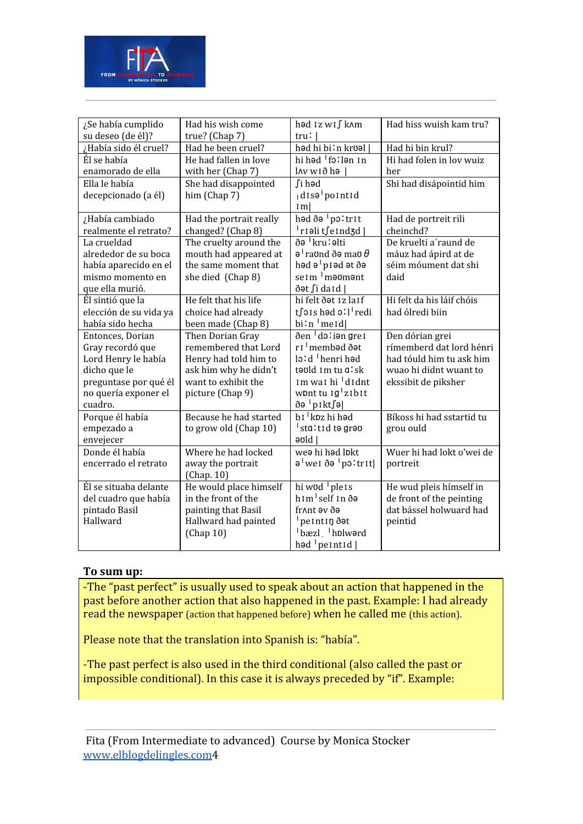

| ¿Se había cumplido<br>su deseo (de él)?                                                                                                 | Had his wish come<br>true? (Chap 7)                                                                                                   | həd 1z w1∫ k∧m<br>tru!                                                                                                                                          | Had hiss wuish kam tru?                                                                                                  |
|-----------------------------------------------------------------------------------------------------------------------------------------|---------------------------------------------------------------------------------------------------------------------------------------|-----------------------------------------------------------------------------------------------------------------------------------------------------------------|--------------------------------------------------------------------------------------------------------------------------|
| ¿Había sido él cruel?                                                                                                                   | Had he been cruel?                                                                                                                    | həd hi bi∶n krʊəl                                                                                                                                               | Had hi bin krul?                                                                                                         |
| Él se había<br>enamorado de ella                                                                                                        | He had fallen in love<br>with her (Chap 7)                                                                                            | hi həd <sup> </sup> fəːlən 1n<br>l∧v w1ð hə                                                                                                                     | Hi had folen in lov wuiz<br>her                                                                                          |
| Ella le había<br>decepcionado (a él)                                                                                                    | She had disappointed<br>him (Chap 7)                                                                                                  | ∫i həd<br>$ $ disə <sup><math> </math></sup> pointid<br>Im                                                                                                      | Shi had disápointid him                                                                                                  |
| ¿Había cambiado<br>realmente el retrato?                                                                                                | Had the portrait really<br>changed? (Chap 8)                                                                                          | həd ðə <sup>1</sup> poltrit<br>riali tseind3d                                                                                                                   | Had de portreit rili<br>cheinchd?                                                                                        |
| La crueldad<br>alrededor de su boca<br>había aparecido en el<br>mismo momento en<br>que ella murió.                                     | The cruelty around the<br>mouth had appeared at<br>the same moment that<br>she died (Chap 8)                                          | ðə <sup>†</sup> kru∶əlti<br>$\theta$ <sup>1</sup> raund ð $\theta$ mau $\theta$<br>həd ə <sup>ı</sup> p ı əd ət ðə<br>se <sub>Im</sub> maymant<br>ðət ∫i da I d | De kruelti a'raund de<br>máuz had ápird at de<br>séim móument dat shi<br>daid                                            |
| Él sintió que la<br>elección de su vida ya<br>había sido hecha                                                                          | He felt that his life<br>choice had already<br>been made (Chap 8)                                                                     | hi felt ðat 1z la1f<br>tfors hod oll redi<br>$\text{bi}$ 'n $\text{Im}\text{e}$                                                                                 | Hi felt da his láif chóis<br>had ólredi biin                                                                             |
| Entonces, Dorian<br>Gray recordó que<br>Lord Henry le había<br>dicho que le<br>preguntase por qué él<br>no quería exponer el<br>cuadro. | Then Dorian Gray<br>remembered that Lord<br>Henry had told him to<br>ask him why he didn't<br>want to exhibit the<br>picture (Chap 9) | ðen dolian grei<br>ri membəd ðət<br>lo:d henri had<br>taold Im tu alsk<br>Im wai hi 'didnt<br>wont tu Ig <sup>1</sup> zIbIt<br>ðə <sup>∣</sup> pıkt∫ə           | Den dórian grei<br>rímemberd dat lord hénri<br>had tóuld him tu ask him<br>wuao hi didnt wuant to<br>ekssibit de piksher |
| Porque él había<br>empezado a<br>envejecer                                                                                              | Because he had started<br>to grow old (Chap 10)                                                                                       | b <sub>I</sub> kpz hi had<br>sta:tid tə grəv<br>$e$ old                                                                                                         | Bíkoss hi had sstartid tu<br>grou ould                                                                                   |
| Donde él había<br>encerrado el retrato                                                                                                  | Where he had locked<br>away the portrait<br>(Chap. 10)                                                                                | wea hi had lpkt<br>ə <sup>l</sup> weiðə <sup>i</sup> poltrit                                                                                                    | Wuer hi had lokt o'wei de<br>portreit                                                                                    |
| Él se situaba delante<br>del cuadro que había<br>pintado Basil<br>Hallward                                                              | He would place himself<br>in the front of the<br>painting that Basil<br>Hallward had painted<br>(Chap 10)                             | hi wod plets<br>him <sup>1</sup> self in ðə<br>fr^nt av ða<br>pe Int In dot<br>bæzl hplword<br>$\text{had}$ $\text{perntid}$                                    | He wud pleis hímself in<br>de front of the peinting<br>dat bássel holwuard had<br>peintid                                |

#### **To sum up:**

-The "past perfect" is usually used to speak about an action that happened in the past before another action that also happened in the past. Example: I had already read the newspaper (action that happened before) when he called me (this action).

Please note that the translation into Spanish is: "había".

-The past perfect is also used in the third conditional (also called the past or impossible conditional). In this case it is always preceded by "if". Example:

 Fita (From Intermediate to advanced) Course by Monica Stocker [www.elblogdelingles.com4](http://www.elblogdelingles.com/)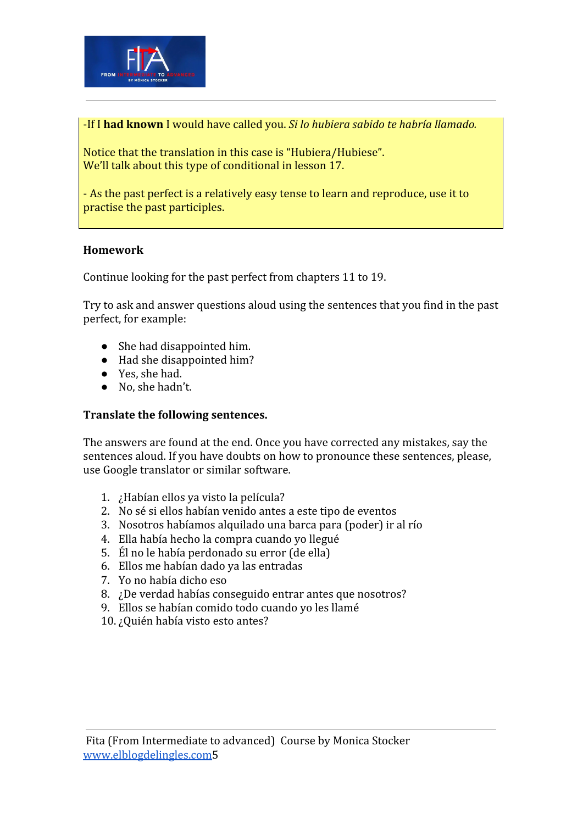

-If I **had known** I would have called you. *Si lo hubiera sabido te habría llamado.*

Notice that the translation in this case is "Hubiera/Hubiese". We'll talk about this type of conditional in lesson 17.

- As the past perfect is a relatively easy tense to learn and reproduce, use it to practise the past participles.

# **Homework**

Continue looking for the past perfect from chapters 11 to 19.

Try to ask and answer questions aloud using the sentences that you find in the past perfect, for example:

- She had disappointed him.
- Had she disappointed him?
- Yes, she had.
- No, she hadn't.

### **Translate the following sentences.**

The answers are found at the end. Once you have corrected any mistakes, say the sentences aloud. If you have doubts on how to pronounce these sentences, please, use Google translator or similar software.

- 1. ¿Habían ellos ya visto la película?
- 2. No sé si ellos habían venido antes a este tipo de eventos
- 3. Nosotros habíamos alquilado una barca para (poder) ir al río
- 4. Ella había hecho la compra cuando yo llegué
- 5. Él no le había perdonado su error (de ella)
- 6. Ellos me habían dado ya las entradas
- 7. Yo no había dicho eso
- 8. ¿De verdad habías conseguido entrar antes que nosotros?
- 9. Ellos se habían comido todo cuando yo les llamé
- 10. ¿Quién había visto esto antes?